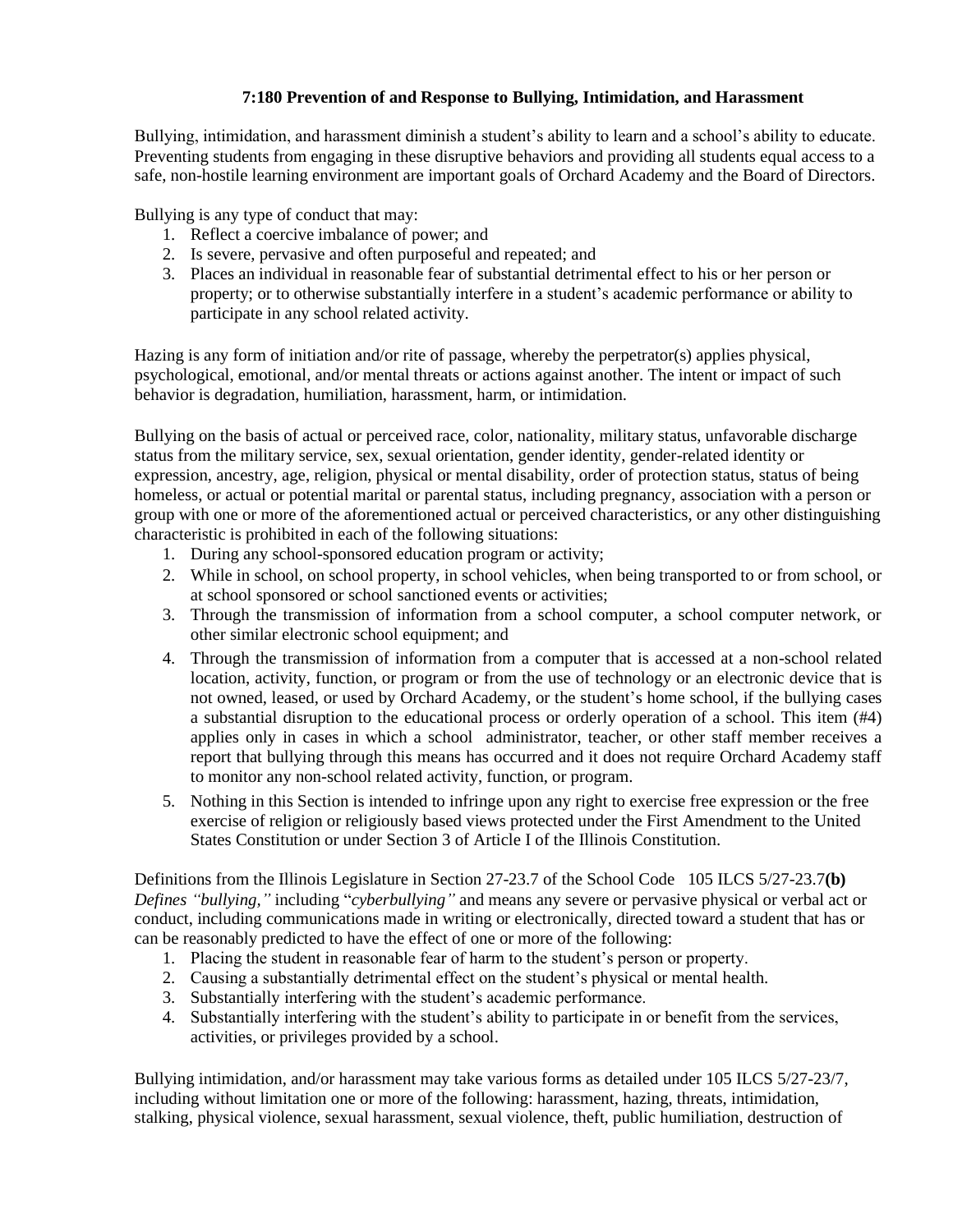# **7:180 Prevention of and Response to Bullying, Intimidation, and Harassment**

Bullying, intimidation, and harassment diminish a student's ability to learn and a school's ability to educate. Preventing students from engaging in these disruptive behaviors and providing all students equal access to a safe, non-hostile learning environment are important goals of Orchard Academy and the Board of Directors.

Bullying is any type of conduct that may:

- 1. Reflect a coercive imbalance of power; and
- 2. Is severe, pervasive and often purposeful and repeated; and
- 3. Places an individual in reasonable fear of substantial detrimental effect to his or her person or property; or to otherwise substantially interfere in a student's academic performance or ability to participate in any school related activity.

Hazing is any form of initiation and/or rite of passage, whereby the perpetrator(s) applies physical, psychological, emotional, and/or mental threats or actions against another. The intent or impact of such behavior is degradation, humiliation, harassment, harm, or intimidation.

Bullying on the basis of actual or perceived race, color, nationality, military status, unfavorable discharge status from the military service, sex, sexual orientation, gender identity, gender-related identity or expression, ancestry, age, religion, physical or mental disability, order of protection status, status of being homeless, or actual or potential marital or parental status, including pregnancy, association with a person or group with one or more of the aforementioned actual or perceived characteristics, or any other distinguishing characteristic is prohibited in each of the following situations:

- 1. During any school-sponsored education program or activity;
- 2. While in school, on school property, in school vehicles, when being transported to or from school, or at school sponsored or school sanctioned events or activities;
- 3. Through the transmission of information from a school computer, a school computer network, or other similar electronic school equipment; and
- 4. Through the transmission of information from a computer that is accessed at a non-school related location, activity, function, or program or from the use of technology or an electronic device that is not owned, leased, or used by Orchard Academy, or the student's home school, if the bullying cases a substantial disruption to the educational process or orderly operation of a school. This item (#4) applies only in cases in which a school administrator, teacher, or other staff member receives a report that bullying through this means has occurred and it does not require Orchard Academy staff to monitor any non-school related activity, function, or program.
- 5. Nothing in this Section is intended to infringe upon any right to exercise free expression or the free exercise of religion or religiously based views protected under the First Amendment to the United States Constitution or under Section 3 of Article I of the Illinois Constitution.

Definitions from the Illinois Legislature in Section 27-23.7 of the School Code 105 ILCS 5/27-23.7**(b)** *Defines "bullying,"* including "*cyberbullying"* and means any severe or pervasive physical or verbal act or conduct, including communications made in writing or electronically, directed toward a student that has or can be reasonably predicted to have the effect of one or more of the following:

- 1. Placing the student in reasonable fear of harm to the student's person or property.
- 2. Causing a substantially detrimental effect on the student's physical or mental health.
- 3. Substantially interfering with the student's academic performance.
- 4. Substantially interfering with the student's ability to participate in or benefit from the services, activities, or privileges provided by a school.

Bullying intimidation, and/or harassment may take various forms as detailed under 105 ILCS 5/27-23/7, including without limitation one or more of the following: harassment, hazing, threats, intimidation, stalking, physical violence, sexual harassment, sexual violence, theft, public humiliation, destruction of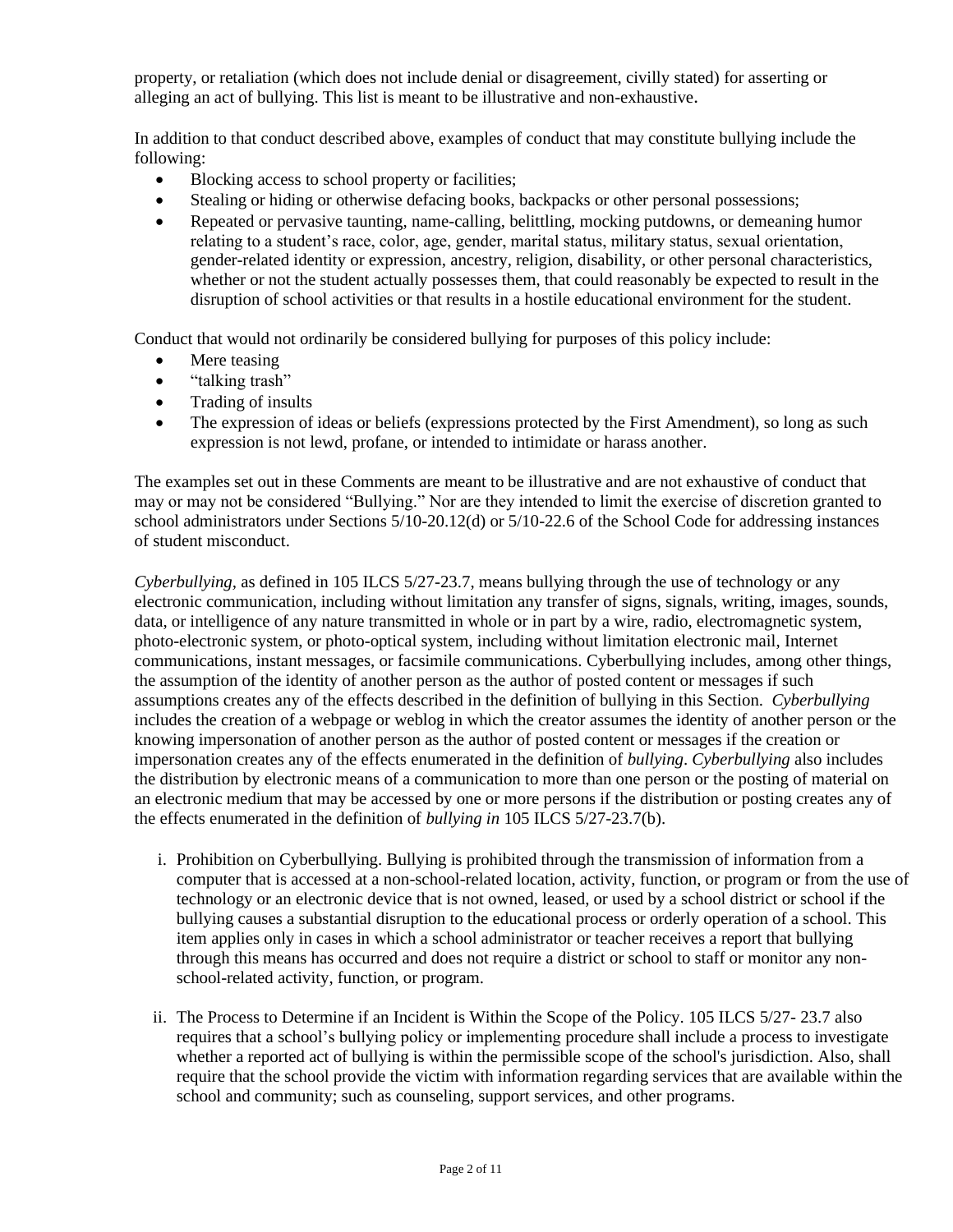property, or retaliation (which does not include denial or disagreement, civilly stated) for asserting or alleging an act of bullying. This list is meant to be illustrative and non-exhaustive.

In addition to that conduct described above, examples of conduct that may constitute bullying include the following:

- Blocking access to school property or facilities;
- Stealing or hiding or otherwise defacing books, backpacks or other personal possessions;
- Repeated or pervasive taunting, name-calling, belittling, mocking putdowns, or demeaning humor relating to a student's race, color, age, gender, marital status, military status, sexual orientation, gender-related identity or expression, ancestry, religion, disability, or other personal characteristics, whether or not the student actually possesses them, that could reasonably be expected to result in the disruption of school activities or that results in a hostile educational environment for the student.

Conduct that would not ordinarily be considered bullying for purposes of this policy include:

- Mere teasing
- "talking trash"
- Trading of insults
- The expression of ideas or beliefs (expressions protected by the First Amendment), so long as such expression is not lewd, profane, or intended to intimidate or harass another.

The examples set out in these Comments are meant to be illustrative and are not exhaustive of conduct that may or may not be considered "Bullying." Nor are they intended to limit the exercise of discretion granted to school administrators under Sections 5/10-20.12(d) or 5/10-22.6 of the School Code for addressing instances of student misconduct.

*Cyberbullying,* as defined in 105 ILCS 5/27-23.7, means bullying through the use of technology or any electronic communication, including without limitation any transfer of signs, signals, writing, images, sounds, data, or intelligence of any nature transmitted in whole or in part by a wire, radio, electromagnetic system, photo-electronic system, or photo-optical system, including without limitation electronic mail, Internet communications, instant messages, or facsimile communications. Cyberbullying includes, among other things, the assumption of the identity of another person as the author of posted content or messages if such assumptions creates any of the effects described in the definition of bullying in this Section. *Cyberbullying* includes the creation of a webpage or weblog in which the creator assumes the identity of another person or the knowing impersonation of another person as the author of posted content or messages if the creation or impersonation creates any of the effects enumerated in the definition of *bullying*. *Cyberbullying* also includes the distribution by electronic means of a communication to more than one person or the posting of material on an electronic medium that may be accessed by one or more persons if the distribution or posting creates any of the effects enumerated in the definition of *bullying in* 105 ILCS 5/27-23.7(b).

- i. Prohibition on Cyberbullying. Bullying is prohibited through the transmission of information from a computer that is accessed at a non-school-related location, activity, function, or program or from the use of technology or an electronic device that is not owned, leased, or used by a school district or school if the bullying causes a substantial disruption to the educational process or orderly operation of a school. This item applies only in cases in which a school administrator or teacher receives a report that bullying through this means has occurred and does not require a district or school to staff or monitor any nonschool-related activity, function, or program.
- ii. The Process to Determine if an Incident is Within the Scope of the Policy. 105 ILCS 5/27- 23.7 also requires that a school's bullying policy or implementing procedure shall include a process to investigate whether a reported act of bullying is within the permissible scope of the school's jurisdiction. Also, shall require that the school provide the victim with information regarding services that are available within the school and community; such as counseling, support services, and other programs.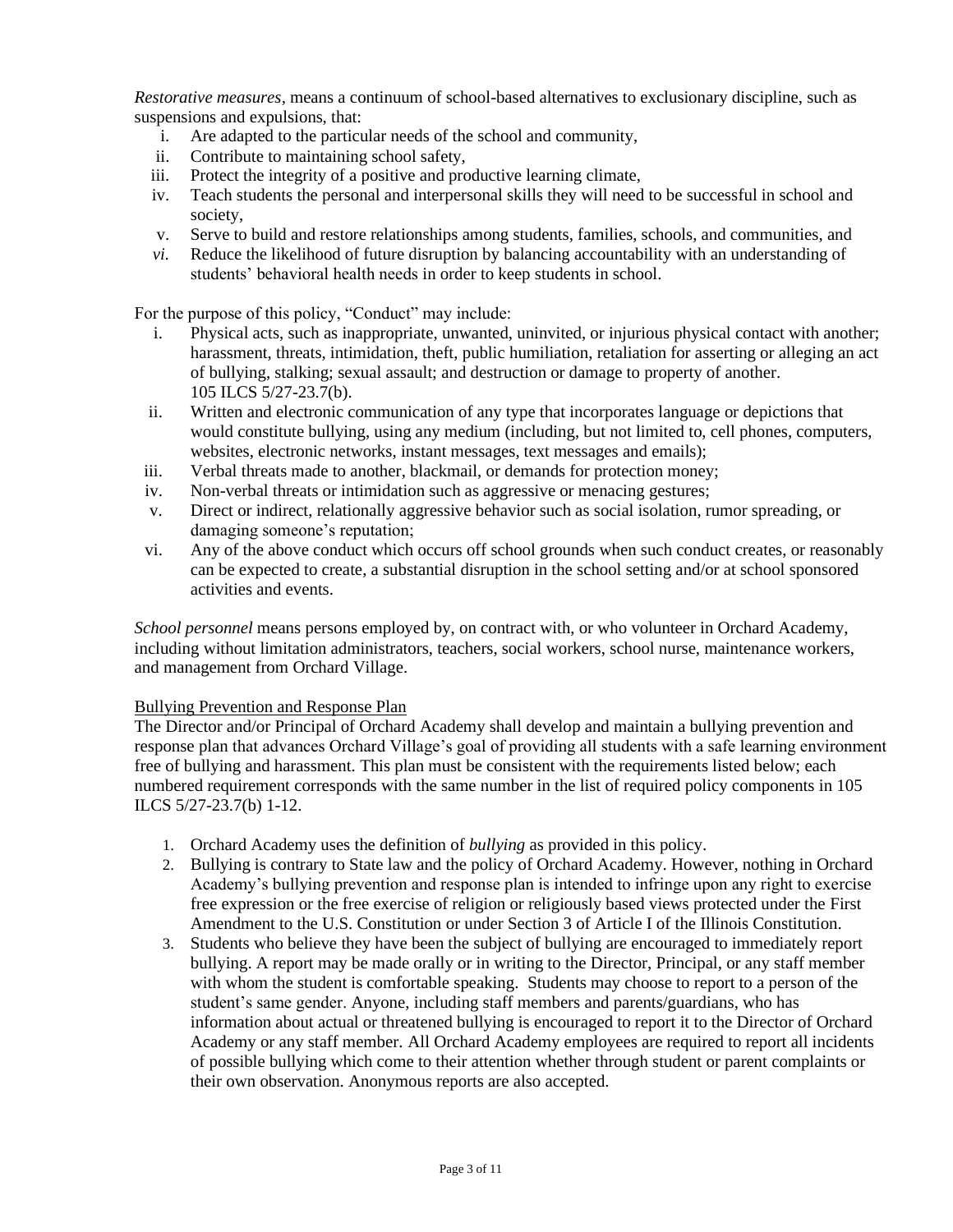*Restorative measures,* means a continuum of school-based alternatives to exclusionary discipline, such as suspensions and expulsions, that:

- i. Are adapted to the particular needs of the school and community,
- ii. Contribute to maintaining school safety,
- iii. Protect the integrity of a positive and productive learning climate,
- iv. Teach students the personal and interpersonal skills they will need to be successful in school and society,
- v. Serve to build and restore relationships among students, families, schools, and communities, and
- *vi.* Reduce the likelihood of future disruption by balancing accountability with an understanding of students' behavioral health needs in order to keep students in school.

For the purpose of this policy, "Conduct" may include:

- i. Physical acts, such as inappropriate, unwanted, uninvited, or injurious physical contact with another; harassment, threats, intimidation, theft, public humiliation, retaliation for asserting or alleging an act of bullying, stalking; sexual assault; and destruction or damage to property of another. 105 ILCS 5/27-23.7(b).
- ii. Written and electronic communication of any type that incorporates language or depictions that would constitute bullying, using any medium (including, but not limited to, cell phones, computers, websites, electronic networks, instant messages, text messages and emails);
- iii. Verbal threats made to another, blackmail, or demands for protection money;
- iv. Non-verbal threats or intimidation such as aggressive or menacing gestures;
- v. Direct or indirect, relationally aggressive behavior such as social isolation, rumor spreading, or damaging someone's reputation;
- vi. Any of the above conduct which occurs off school grounds when such conduct creates, or reasonably can be expected to create, a substantial disruption in the school setting and/or at school sponsored activities and events.

*School personnel* means persons employed by, on contract with, or who volunteer in Orchard Academy, including without limitation administrators, teachers, social workers, school nurse, maintenance workers, and management from Orchard Village.

#### Bullying Prevention and Response Plan

The Director and/or Principal of Orchard Academy shall develop and maintain a bullying prevention and response plan that advances Orchard Village's goal of providing all students with a safe learning environment free of bullying and harassment. This plan must be consistent with the requirements listed below; each numbered requirement corresponds with the same number in the list of required policy components in 105 ILCS 5/27-23.7(b) 1-12.

- 1. Orchard Academy uses the definition of *bullying* as provided in this policy.
- 2. Bullying is contrary to State law and the policy of Orchard Academy. However, nothing in Orchard Academy's bullying prevention and response plan is intended to infringe upon any right to exercise free expression or the free exercise of religion or religiously based views protected under the [First](http://redirector.microscribepub.com/?cat=const&loc=us&)  [Amendment to the U.S. Constitution](http://redirector.microscribepub.com/?cat=const&loc=us&) or under [Section 3 of Article I of the Illinois Constitution.](http://redirector.microscribepub.com/?cat=const&loc=il&id=arti&)
- 3. Students who believe they have been the subject of bullying are encouraged to immediately report bullying. A report may be made orally or in writing to the Director, Principal, or any staff member with whom the student is comfortable speaking. Students may choose to report to a person of the student's same gender. Anyone, including staff members and parents/guardians, who has information about actual or threatened bullying is encouraged to report it to the Director of Orchard Academy or any staff member. All Orchard Academy employees are required to report all incidents of possible bullying which come to their attention whether through student or parent complaints or their own observation. Anonymous reports are also accepted.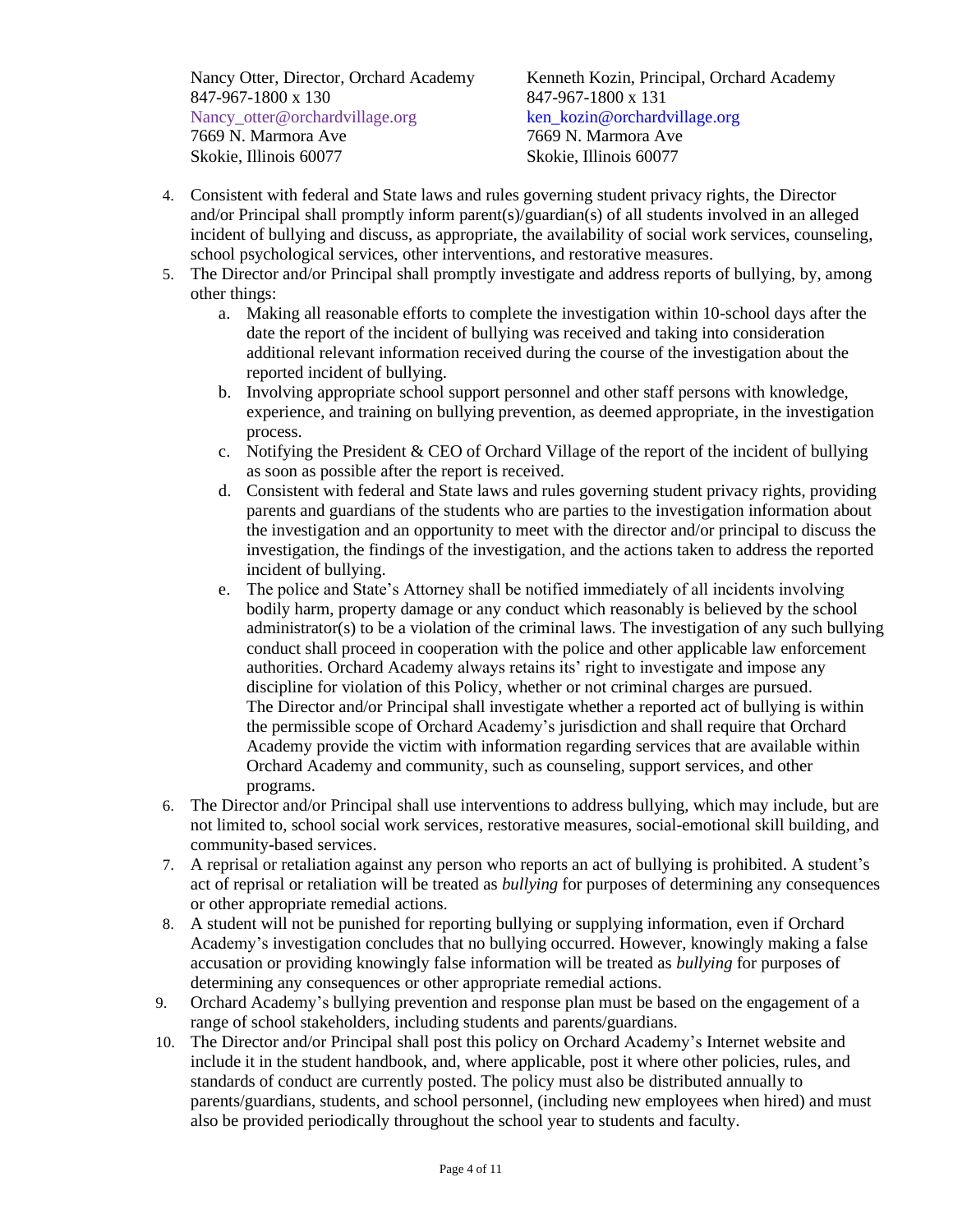847-967-1800 x 130 847-967-1800 x 131 Nancy otter@orchardvillage.org ken kozin@orchardvillage.org 7669 N. Marmora Ave 7669 N. Marmora Ave Skokie, Illinois 60077 Skokie, Illinois 60077

Nancy Otter, Director, Orchard Academy Kenneth Kozin, Principal, Orchard Academy

- 4. Consistent with federal and State laws and rules governing student privacy rights, the Director and/or Principal shall promptly inform parent(s)/guardian(s) of all students involved in an alleged incident of bullying and discuss, as appropriate, the availability of social work services, counseling, school psychological services, other interventions, and restorative measures.
- 5. The Director and/or Principal shall promptly investigate and address reports of bullying, by, among other things:
	- a. Making all reasonable efforts to complete the investigation within 10-school days after the date the report of the incident of bullying was received and taking into consideration additional relevant information received during the course of the investigation about the reported incident of bullying.
	- b. Involving appropriate school support personnel and other staff persons with knowledge, experience, and training on bullying prevention, as deemed appropriate, in the investigation process.
	- c. Notifying the President & CEO of Orchard Village of the report of the incident of bullying as soon as possible after the report is received.
	- d. Consistent with federal and State laws and rules governing student privacy rights, providing parents and guardians of the students who are parties to the investigation information about the investigation and an opportunity to meet with the director and/or principal to discuss the investigation, the findings of the investigation, and the actions taken to address the reported incident of bullying.
	- e. The police and State's Attorney shall be notified immediately of all incidents involving bodily harm, property damage or any conduct which reasonably is believed by the school administrator(s) to be a violation of the criminal laws. The investigation of any such bullying conduct shall proceed in cooperation with the police and other applicable law enforcement authorities. Orchard Academy always retains its' right to investigate and impose any discipline for violation of this Policy, whether or not criminal charges are pursued. The Director and/or Principal shall investigate whether a reported act of bullying is within the permissible scope of Orchard Academy's jurisdiction and shall require that Orchard Academy provide the victim with information regarding services that are available within Orchard Academy and community, such as counseling, support services, and other programs.
- 6. The Director and/or Principal shall use interventions to address bullying, which may include, but are not limited to, school social work services, restorative measures, social-emotional skill building, and community-based services.
- 7. A reprisal or retaliation against any person who reports an act of bullying is prohibited. A student's act of reprisal or retaliation will be treated as *bullying* for purposes of determining any consequences or other appropriate remedial actions.
- 8. A student will not be punished for reporting bullying or supplying information, even if Orchard Academy's investigation concludes that no bullying occurred. However, knowingly making a false accusation or providing knowingly false information will be treated as *bullying* for purposes of determining any consequences or other appropriate remedial actions.
- 9. Orchard Academy's bullying prevention and response plan must be based on the engagement of a range of school stakeholders, including students and parents/guardians.
- 10. The Director and/or Principal shall post this policy on Orchard Academy's Internet website and include it in the student handbook, and, where applicable, post it where other policies, rules, and standards of conduct are currently posted. The policy must also be distributed annually to parents/guardians, students, and school personnel, (including new employees when hired) and must also be provided periodically throughout the school year to students and faculty.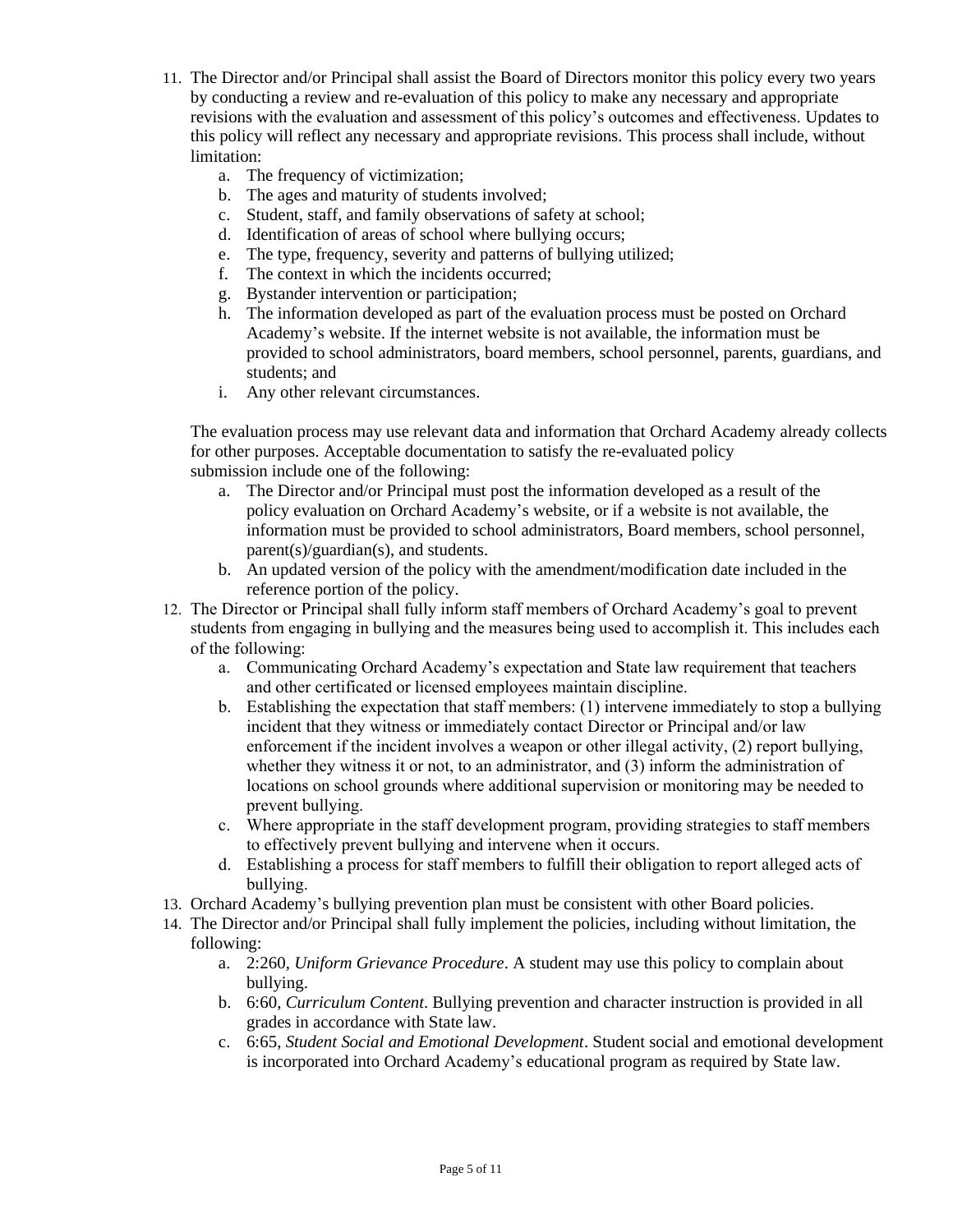- 11. The Director and/or Principal shall assist the Board of Directors monitor this policy every two years by conducting a review and re-evaluation of this policy to make any necessary and appropriate revisions with the evaluation and assessment of this policy's outcomes and effectiveness. Updates to this policy will reflect any necessary and appropriate revisions. This process shall include, without limitation:
	- a. The frequency of victimization;
	- b. The ages and maturity of students involved;
	- c. Student, staff, and family observations of safety at school;
	- d. Identification of areas of school where bullying occurs;
	- e. The type, frequency, severity and patterns of bullying utilized;
	- f. The context in which the incidents occurred;
	- g. Bystander intervention or participation;
	- h. The information developed as part of the evaluation process must be posted on Orchard Academy's website. If the internet website is not available, the information must be provided to school administrators, board members, school personnel, parents, guardians, and students; and
	- i. Any other relevant circumstances.

The evaluation process may use relevant data and information that Orchard Academy already collects for other purposes. Acceptable documentation to satisfy the re-evaluated policy submission include one of the following:

- a. The Director and/or Principal must post the information developed as a result of the policy evaluation on Orchard Academy's website, or if a website is not available, the information must be provided to school administrators, Board members, school personnel, parent(s)/guardian(s), and students.
- b. An updated version of the policy with the amendment/modification date included in the reference portion of the policy.
- 12. The Director or Principal shall fully inform staff members of Orchard Academy's goal to prevent students from engaging in bullying and the measures being used to accomplish it. This includes each of the following:
	- a. Communicating Orchard Academy's expectation and State law requirement that teachers and other certificated or licensed employees maintain discipline.
	- b. Establishing the expectation that staff members: (1) intervene immediately to stop a bullying incident that they witness or immediately contact Director or Principal and/or law enforcement if the incident involves a weapon or other illegal activity, (2) report bullying, whether they witness it or not, to an administrator, and (3) inform the administration of locations on school grounds where additional supervision or monitoring may be needed to prevent bullying.
	- c. Where appropriate in the staff development program, providing strategies to staff members to effectively prevent bullying and intervene when it occurs.
	- d. Establishing a process for staff members to fulfill their obligation to report alleged acts of bullying.
- 13. Orchard Academy's bullying prevention plan must be consistent with other Board policies.
- 14. The Director and/or Principal shall fully implement the policies, including without limitation, the following:
	- a. [2:260,](javascript:doJump(103268)) *Uniform Grievance Procedure*. A student may use this policy to complain about bullying.
	- b. [6:60,](javascript:doJump(103350)) *Curriculum Content*. Bullying prevention and character instruction is provided in all grades in accordance with State law.
	- c. [6:65,](javascript:doJump(103351)) *Student Social and Emotional Development*. Student social and emotional development is incorporated into Orchard Academy's educational program as required by State law.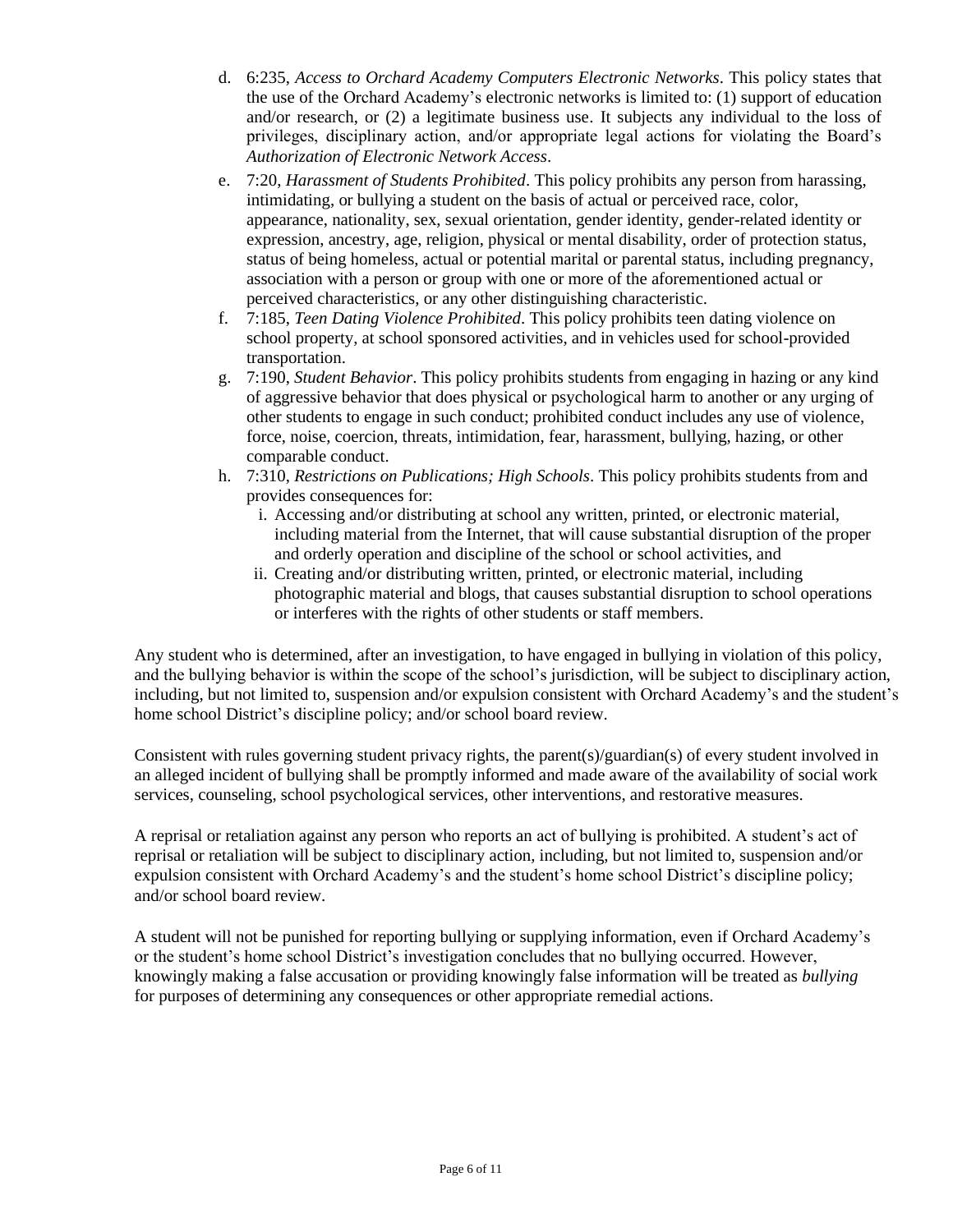- d. [6:235,](javascript:doJump(103364)) *Access to Orchard Academy Computers Electronic Networks*. This policy states that the use of the Orchard Academy's electronic networks is limited to: (1) support of education and/or research, or (2) a legitimate business use. It subjects any individual to the loss of privileges, disciplinary action, and/or appropriate legal actions for violating the Board's *Authorization of Electronic Network Access*.
- e. [7:20,](javascript:doJump(103380)) *Harassment of Students Prohibited*. This policy prohibits any person from harassing, intimidating, or bullying a student on the basis of actual or perceived race, color, appearance, nationality, sex, sexual orientation, gender identity, gender-related identity or expression, ancestry, age, religion, physical or mental disability, order of protection status, status of being homeless, actual or potential marital or parental status, including pregnancy, association with a person or group with one or more of the aforementioned actual or perceived characteristics, or any other distinguishing characteristic.
- f. [7:185,](javascript:doJump(103396)) *Teen Dating Violence Prohibited*. This policy prohibits teen dating violence on school property, at school sponsored activities, and in vehicles used for school-provided transportation.
- g. [7:190,](javascript:doJump(103398)) *Student Behavior*. This policy prohibits students from engaging in hazing or any kind of aggressive behavior that does physical or psychological harm to another or any urging of other students to engage in such conduct; prohibited conduct includes any use of violence, force, noise, coercion, threats, intimidation, fear, harassment, bullying, hazing, or other comparable conduct.
- h. 7:310, *Restrictions on Publications; High Schools*. This policy prohibits students from and provides consequences for:
	- i. Accessing and/or distributing at school any written, printed, or electronic material, including material from the Internet, that will cause substantial disruption of the proper and orderly operation and discipline of the school or school activities, and
	- ii. Creating and/or distributing written, printed, or electronic material, including photographic material and blogs, that causes substantial disruption to school operations or interferes with the rights of other students or staff members.

Any student who is determined, after an investigation, to have engaged in bullying in violation of this policy, and the bullying behavior is within the scope of the school's jurisdiction, will be subject to disciplinary action, including, but not limited to, suspension and/or expulsion consistent with Orchard Academy's and the student's home school District's discipline policy; and/or school board review.

Consistent with rules governing student privacy rights, the parent(s)/guardian(s) of every student involved in an alleged incident of bullying shall be promptly informed and made aware of the availability of social work services, counseling, school psychological services, other interventions, and restorative measures.

A reprisal or retaliation against any person who reports an act of bullying is prohibited. A student's act of reprisal or retaliation will be subject to disciplinary action, including, but not limited to, suspension and/or expulsion consistent with Orchard Academy's and the student's home school District's discipline policy; and/or school board review.

A student will not be punished for reporting bullying or supplying information, even if Orchard Academy's or the student's home school District's investigation concludes that no bullying occurred. However, knowingly making a false accusation or providing knowingly false information will be treated as *bullying* for purposes of determining any consequences or other appropriate remedial actions.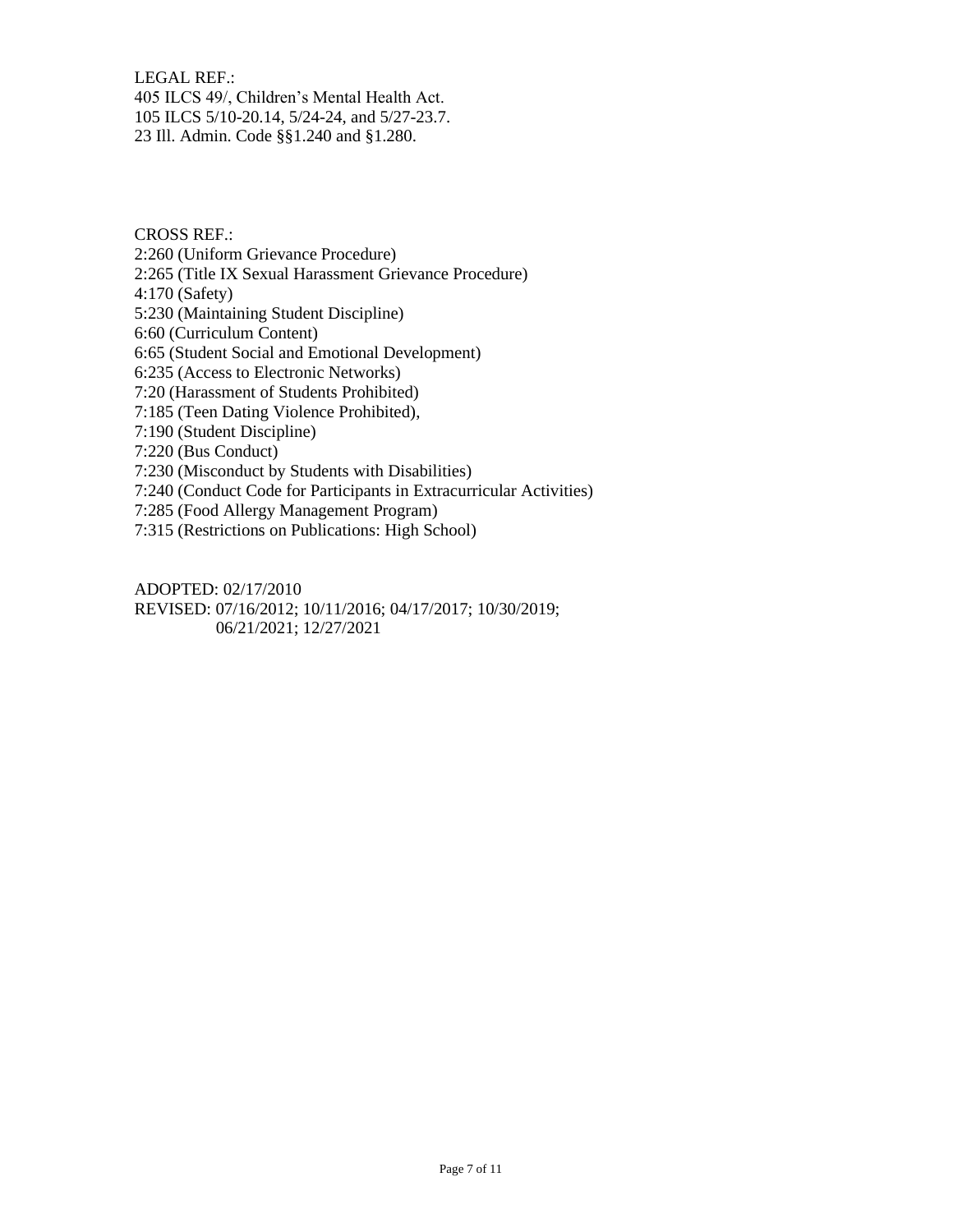LEGAL REF.: 405 ILCS 49/, Children's Mental Health Act. 105 ILCS 5/10-20.14, 5/24-24, and 5/27-23.7. 23 Ill. Admin. Code §§1.240 and §1.280.

CROSS REF.:

2:260 (Uniform Grievance Procedure)

2:265 (Title IX Sexual Harassment Grievance Procedure)

4:170 (Safety)

5:230 (Maintaining Student Discipline)

6:60 (Curriculum Content)

6:65 (Student Social and Emotional Development)

6:235 (Access to Electronic Networks)

7:20 (Harassment of Students Prohibited)

7:185 (Teen Dating Violence Prohibited),

7:190 (Student Discipline)

7:220 (Bus Conduct)

7:230 (Misconduct by Students with Disabilities)

7:240 (Conduct Code for Participants in Extracurricular Activities)

7:285 (Food Allergy Management Program)

7:315 (Restrictions on Publications: High School)

ADOPTED: 02/17/2010 REVISED: 07/16/2012; 10/11/2016; 04/17/2017; 10/30/2019; 06/21/2021; 12/27/2021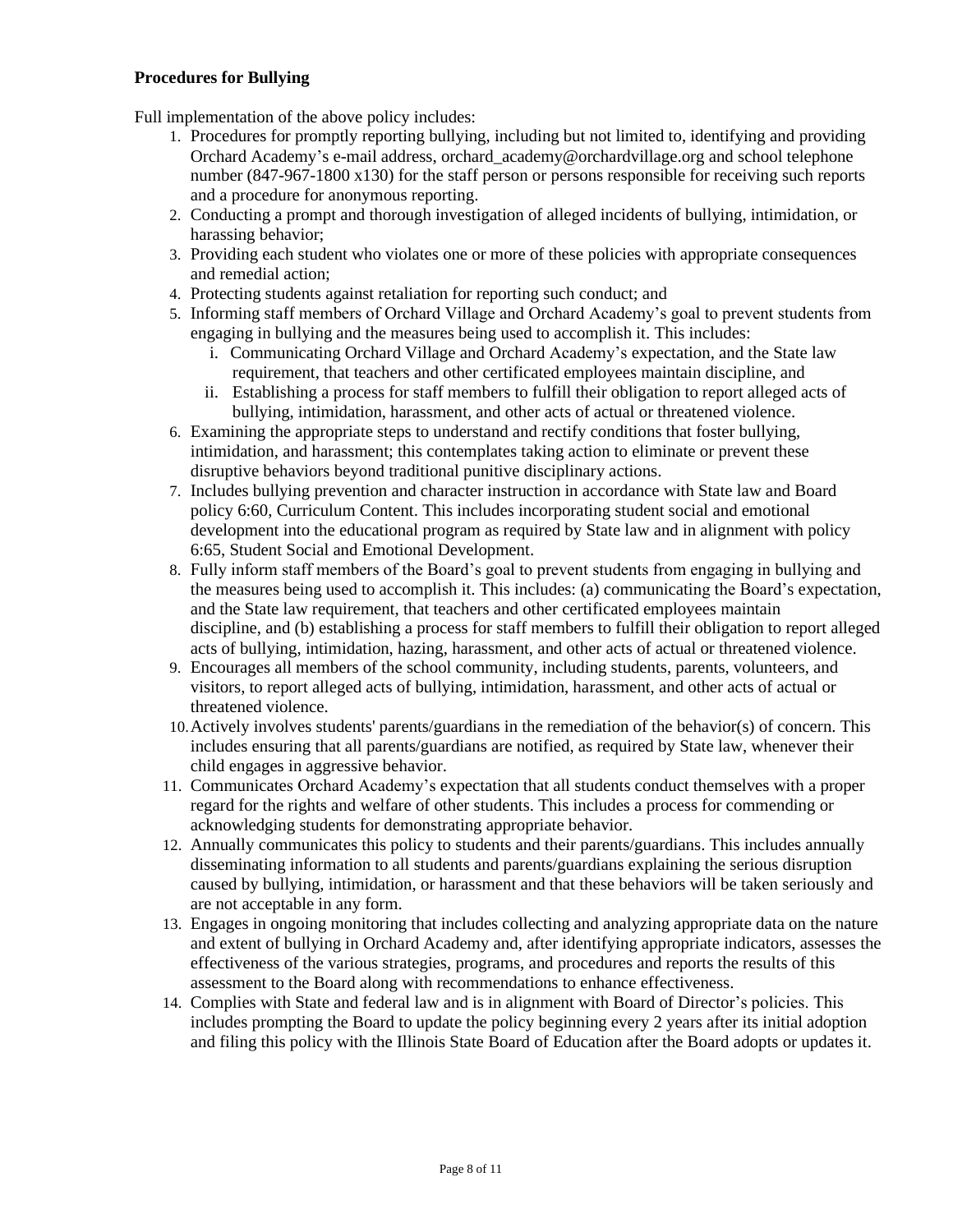## **Procedures for Bullying**

Full implementation of the above policy includes:

- 1. Procedures for promptly reporting bullying, including but not limited to, identifying and providing Orchard Academy's e-mail address, [orchard\\_academy@orchardvillage.org](mailto:rchard_academy@orchardvillage.org) and school telephone number (847-967-1800 x130) for the staff person or persons responsible for receiving such reports and a procedure for anonymous reporting.
- 2. Conducting a prompt and thorough investigation of alleged incidents of bullying, intimidation, or harassing behavior;
- 3. Providing each student who violates one or more of these policies with appropriate consequences and remedial action;
- 4. Protecting students against retaliation for reporting such conduct; and
- 5. Informing staff members of Orchard Village and Orchard Academy's goal to prevent students from engaging in bullying and the measures being used to accomplish it. This includes:
	- i. Communicating Orchard Village and Orchard Academy's expectation, and the State law requirement, that teachers and other certificated employees maintain discipline, and
	- ii. Establishing a process for staff members to fulfill their obligation to report alleged acts of bullying, intimidation, harassment, and other acts of actual or threatened violence.
- 6. Examining the appropriate steps to understand and rectify conditions that foster bullying, intimidation, and harassment; this contemplates taking action to eliminate or prevent these disruptive behaviors beyond traditional punitive disciplinary actions.
- 7. Includes bullying prevention and character instruction in accordance with State law and Board policy 6:60, Curriculum Content. This includes incorporating student social and emotional development into the educational program as required by State law and in alignment with policy 6:65, Student Social and Emotional Development.
- 8. Fully inform staff members of the Board's goal to prevent students from engaging in bullying and the measures being used to accomplish it. This includes: (a) communicating the Board's expectation, and the State law requirement, that teachers and other certificated employees maintain discipline, and (b) establishing a process for staff members to fulfill their obligation to report alleged acts of bullying, intimidation, hazing, harassment, and other acts of actual or threatened violence.
- 9. Encourages all members of the school community, including students, parents, volunteers, and visitors, to report alleged acts of bullying, intimidation, harassment, and other acts of actual or threatened violence.
- 10.Actively involves students' parents/guardians in the remediation of the behavior(s) of concern. This includes ensuring that all parents/guardians are notified, as required by State law, whenever their child engages in aggressive behavior.
- 11. Communicates Orchard Academy's expectation that all students conduct themselves with a proper regard for the rights and welfare of other students. This includes a process for commending or acknowledging students for demonstrating appropriate behavior.
- 12. Annually communicates this policy to students and their parents/guardians. This includes annually disseminating information to all students and parents/guardians explaining the serious disruption caused by bullying, intimidation, or harassment and that these behaviors will be taken seriously and are not acceptable in any form.
- 13. Engages in ongoing monitoring that includes collecting and analyzing appropriate data on the nature and extent of bullying in Orchard Academy and, after identifying appropriate indicators, assesses the effectiveness of the various strategies, programs, and procedures and reports the results of this assessment to the Board along with recommendations to enhance effectiveness.
- 14. Complies with State and federal law and is in alignment with Board of Director's policies. This includes prompting the Board to update the policy beginning every 2 years after its initial adoption and filing this policy with the Illinois State Board of Education after the Board adopts or updates it.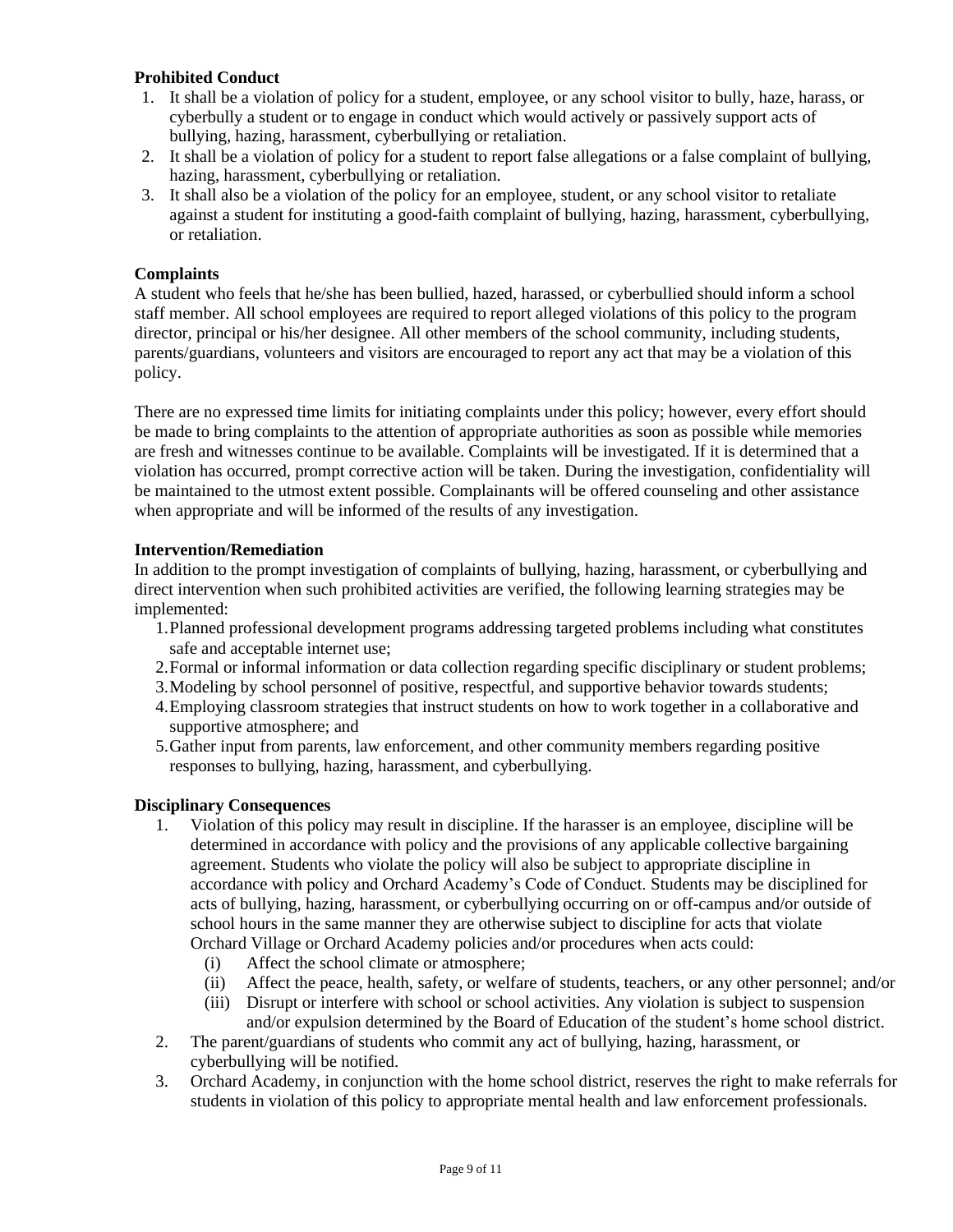# **Prohibited Conduct**

- 1. It shall be a violation of policy for a student, employee, or any school visitor to bully, haze, harass, or cyberbully a student or to engage in conduct which would actively or passively support acts of bullying, hazing, harassment, cyberbullying or retaliation.
- 2. It shall be a violation of policy for a student to report false allegations or a false complaint of bullying, hazing, harassment, cyberbullying or retaliation.
- 3. It shall also be a violation of the policy for an employee, student, or any school visitor to retaliate against a student for instituting a good-faith complaint of bullying, hazing, harassment, cyberbullying, or retaliation.

## **Complaints**

A student who feels that he/she has been bullied, hazed, harassed, or cyberbullied should inform a school staff member. All school employees are required to report alleged violations of this policy to the program director, principal or his/her designee. All other members of the school community, including students, parents/guardians, volunteers and visitors are encouraged to report any act that may be a violation of this policy.

There are no expressed time limits for initiating complaints under this policy; however, every effort should be made to bring complaints to the attention of appropriate authorities as soon as possible while memories are fresh and witnesses continue to be available. Complaints will be investigated. If it is determined that a violation has occurred, prompt corrective action will be taken. During the investigation, confidentiality will be maintained to the utmost extent possible. Complainants will be offered counseling and other assistance when appropriate and will be informed of the results of any investigation.

#### **Intervention/Remediation**

In addition to the prompt investigation of complaints of bullying, hazing, harassment, or cyberbullying and direct intervention when such prohibited activities are verified, the following learning strategies may be implemented:

- 1.Planned professional development programs addressing targeted problems including what constitutes safe and acceptable internet use;
- 2.Formal or informal information or data collection regarding specific disciplinary or student problems;
- 3.Modeling by school personnel of positive, respectful, and supportive behavior towards students;
- 4.Employing classroom strategies that instruct students on how to work together in a collaborative and supportive atmosphere; and
- 5.Gather input from parents, law enforcement, and other community members regarding positive responses to bullying, hazing, harassment, and cyberbullying.

#### **Disciplinary Consequences**

- 1. Violation of this policy may result in discipline. If the harasser is an employee, discipline will be determined in accordance with policy and the provisions of any applicable collective bargaining agreement. Students who violate the policy will also be subject to appropriate discipline in accordance with policy and Orchard Academy's Code of Conduct. Students may be disciplined for acts of bullying, hazing, harassment, or cyberbullying occurring on or off-campus and/or outside of school hours in the same manner they are otherwise subject to discipline for acts that violate Orchard Village or Orchard Academy policies and/or procedures when acts could:
	- (i) Affect the school climate or atmosphere;
	- (ii) Affect the peace, health, safety, or welfare of students, teachers, or any other personnel; and/or
	- (iii) Disrupt or interfere with school or school activities. Any violation is subject to suspension and/or expulsion determined by the Board of Education of the student's home school district.
- 2. The parent/guardians of students who commit any act of bullying, hazing, harassment, or cyberbullying will be notified.
- 3. Orchard Academy, in conjunction with the home school district, reserves the right to make referrals for students in violation of this policy to appropriate mental health and law enforcement professionals.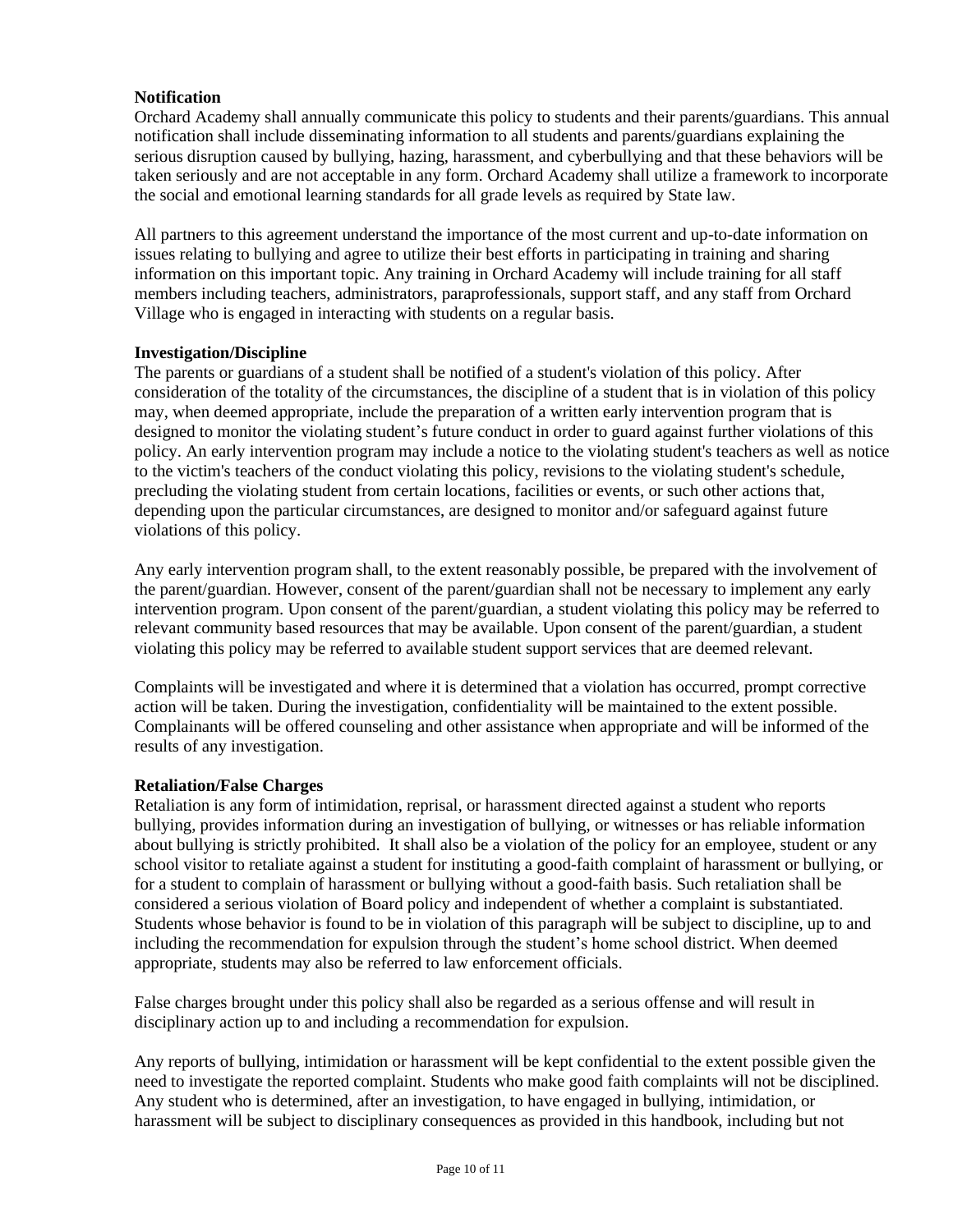# **Notification**

Orchard Academy shall annually communicate this policy to students and their parents/guardians. This annual notification shall include disseminating information to all students and parents/guardians explaining the serious disruption caused by bullying, hazing, harassment, and cyberbullying and that these behaviors will be taken seriously and are not acceptable in any form. Orchard Academy shall utilize a framework to incorporate the social and emotional learning standards for all grade levels as required by State law.

All partners to this agreement understand the importance of the most current and up-to-date information on issues relating to bullying and agree to utilize their best efforts in participating in training and sharing information on this important topic. Any training in Orchard Academy will include training for all staff members including teachers, administrators, paraprofessionals, support staff, and any staff from Orchard Village who is engaged in interacting with students on a regular basis.

#### **Investigation/Discipline**

The parents or guardians of a student shall be notified of a student's violation of this policy. After consideration of the totality of the circumstances, the discipline of a student that is in violation of this policy may, when deemed appropriate, include the preparation of a written early intervention program that is designed to monitor the violating student's future conduct in order to guard against further violations of this policy. An early intervention program may include a notice to the violating student's teachers as well as notice to the victim's teachers of the conduct violating this policy, revisions to the violating student's schedule, precluding the violating student from certain locations, facilities or events, or such other actions that, depending upon the particular circumstances, are designed to monitor and/or safeguard against future violations of this policy.

Any early intervention program shall, to the extent reasonably possible, be prepared with the involvement of the parent/guardian. However, consent of the parent/guardian shall not be necessary to implement any early intervention program. Upon consent of the parent/guardian, a student violating this policy may be referred to relevant community based resources that may be available. Upon consent of the parent/guardian, a student violating this policy may be referred to available student support services that are deemed relevant.

Complaints will be investigated and where it is determined that a violation has occurred, prompt corrective action will be taken. During the investigation, confidentiality will be maintained to the extent possible. Complainants will be offered counseling and other assistance when appropriate and will be informed of the results of any investigation.

#### **Retaliation/False Charges**

Retaliation is any form of intimidation, reprisal, or harassment directed against a student who reports bullying, provides information during an investigation of bullying, or witnesses or has reliable information about bullying is strictly prohibited. It shall also be a violation of the policy for an employee, student or any school visitor to retaliate against a student for instituting a good-faith complaint of harassment or bullying, or for a student to complain of harassment or bullying without a good-faith basis. Such retaliation shall be considered a serious violation of Board policy and independent of whether a complaint is substantiated. Students whose behavior is found to be in violation of this paragraph will be subject to discipline, up to and including the recommendation for expulsion through the student's home school district. When deemed appropriate, students may also be referred to law enforcement officials.

False charges brought under this policy shall also be regarded as a serious offense and will result in disciplinary action up to and including a recommendation for expulsion.

Any reports of bullying, intimidation or harassment will be kept confidential to the extent possible given the need to investigate the reported complaint. Students who make good faith complaints will not be disciplined. Any student who is determined, after an investigation, to have engaged in bullying, intimidation, or harassment will be subject to disciplinary consequences as provided in this handbook, including but not